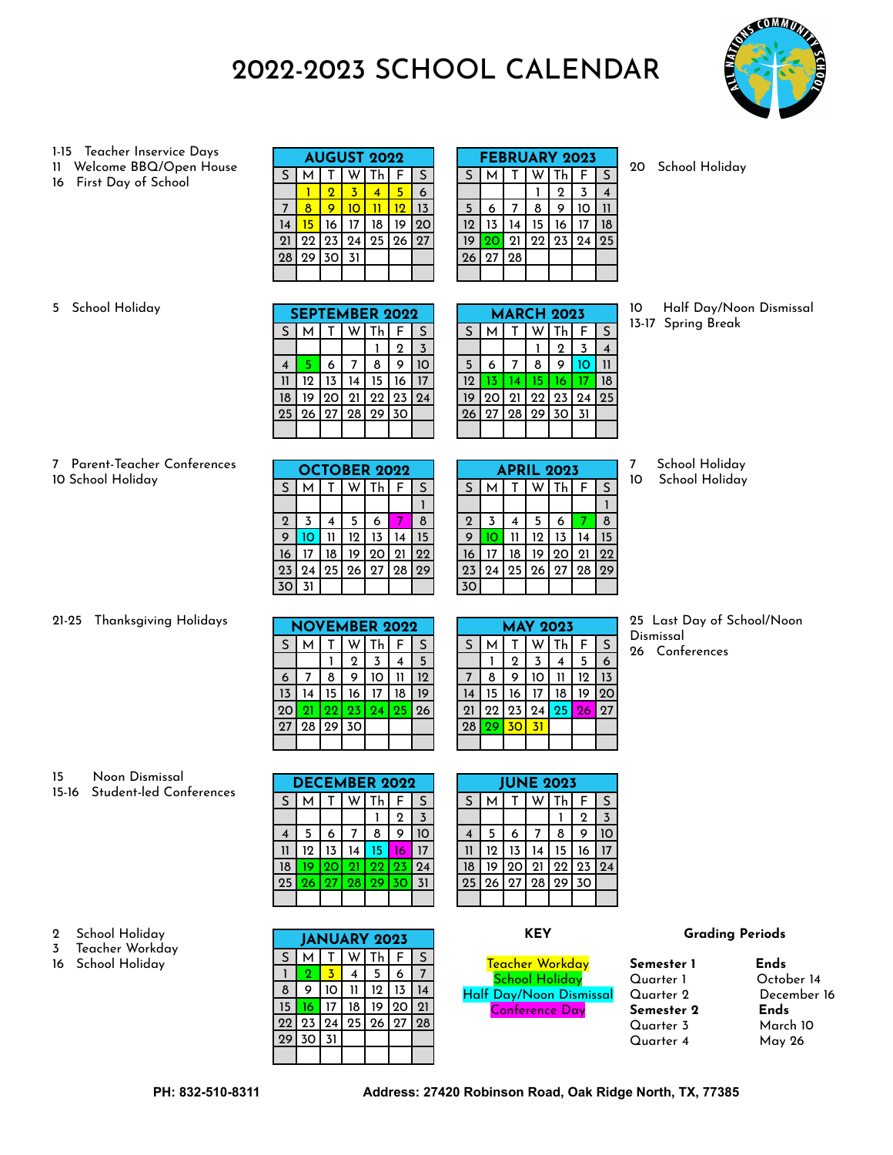# 2022-2023 SCHOOL CALENDAR



#### 1-15 Teacher Inservice Days

- Welcome BBQ/Open House
- First Day of School

| <b>AUGUST 2022</b> |        |    |    |    |              |    |  |  |  |  |
|--------------------|--------|----|----|----|--------------|----|--|--|--|--|
| S                  | S<br>F |    |    |    |              |    |  |  |  |  |
|                    |        | 2  |    |    |              | 6  |  |  |  |  |
|                    | 8      | g  |    |    | 12           | 13 |  |  |  |  |
| 14                 | 15     | 16 | 17 | 18 | 19           | 20 |  |  |  |  |
| 21                 | 22     | 23 | 24 | 25 | $ 26\rangle$ | 27 |  |  |  |  |
| 28                 | 29     | 30 | 31 |    |              |    |  |  |  |  |
|                    |        |    |    |    |              |    |  |  |  |  |

| <b>FEBRUARY 2023</b> |           |             |    |       |    |    |  |  |  |  |  |
|----------------------|-----------|-------------|----|-------|----|----|--|--|--|--|--|
| S                    |           |             |    | Th    | F  | S  |  |  |  |  |  |
|                      |           |             |    | 2     | 3  |    |  |  |  |  |  |
| 5                    | 6         |             | 8  | 9     | חו |    |  |  |  |  |  |
| 12                   | 13        | 14          | 15 | 16    |    | 18 |  |  |  |  |  |
| 19                   | <b>20</b> | 21          |    | 22 23 | 24 | 25 |  |  |  |  |  |
| 26                   | 27        | <u>  28</u> |    |       |    |    |  |  |  |  |  |
|                      |           |             |    |       |    |    |  |  |  |  |  |

School Holiday

#### School Holiday

| <b>SEPTEMBER 2022</b> |      |    |    |             |    |                |  |  |  |  |
|-----------------------|------|----|----|-------------|----|----------------|--|--|--|--|
| S                     | М    | Τ  |    | W l Th      | F  | $\mathsf S$    |  |  |  |  |
|                       |      |    |    |             | 2  | $\overline{3}$ |  |  |  |  |
|                       | 5    | 6  |    | 8           | 9  | 10             |  |  |  |  |
|                       | 12   | 13 | 14 | 15          | 16 |                |  |  |  |  |
| 18                    | 19   | 20 | 21 | 22 23       |    | 24             |  |  |  |  |
| 25                    | l 26 |    |    | 27 28 29 30 |    |                |  |  |  |  |
|                       |      |    |    |             |    |                |  |  |  |  |

| <b>MARCH 2023</b> |                   |    |    |             |     |    |  |  |  |  |
|-------------------|-------------------|----|----|-------------|-----|----|--|--|--|--|
| S                 | М                 |    |    | Th          | F   | S  |  |  |  |  |
|                   |                   |    |    | $\mathbf 2$ | 3   |    |  |  |  |  |
| 5                 | 6                 |    | 8  | 9           | 10  |    |  |  |  |  |
| 12                | 13                | 14 | 15 | 16          |     | 18 |  |  |  |  |
| 19                | 20 21 22 23 24 25 |    |    |             |     |    |  |  |  |  |
| 26                | 27 28 29 30       |    |    |             | -31 |    |  |  |  |  |
|                   |                   |    |    |             |     |    |  |  |  |  |

#### Half Day/Noon Dismissal 13-17 Spring Break

#### Parent-Teacher Conferences School Holiday

|             | <b>OCTOBER 2022</b> |    |                 |                   |    |    |  |  |  |  |  |
|-------------|---------------------|----|-----------------|-------------------|----|----|--|--|--|--|--|
| S           |                     |    |                 | Th                | F. | S  |  |  |  |  |  |
|             |                     |    |                 |                   |    |    |  |  |  |  |  |
| $\mathbf 2$ | 3                   |    | 5               | 6                 |    | 8  |  |  |  |  |  |
| g           | 10                  |    | 12 <sup>°</sup> | 13                |    | 15 |  |  |  |  |  |
| 16          |                     | 18 | 19              | 20121             |    | 22 |  |  |  |  |  |
| 23          | 24                  |    |                 | 25   26   27   28 |    | 29 |  |  |  |  |  |
|             |                     |    |                 |                   |    |    |  |  |  |  |  |

| <b>APRIL 2023</b> |    |    |    |    |    |    |  |  |  |  |  |
|-------------------|----|----|----|----|----|----|--|--|--|--|--|
| S                 | М  |    |    | Th | F  | S  |  |  |  |  |  |
|                   |    |    |    |    |    |    |  |  |  |  |  |
| $\overline{2}$    | 3  | 4  | 5  | 6  |    | 8  |  |  |  |  |  |
| 9                 |    |    | 12 | 13 | 14 | 15 |  |  |  |  |  |
| 16                |    | 18 | 19 | 20 | 21 | 22 |  |  |  |  |  |
| 23                | 24 | 25 | 26 | 27 | 28 | 29 |  |  |  |  |  |
| 30                |    |    |    |    |    |    |  |  |  |  |  |

School Holiday

School Holiday

#### 21-25 Thanksgiving Holidays

| <b>NOVEMBER 2022</b> |    |    |             |    |                 |    |  |  |  |  |
|----------------------|----|----|-------------|----|-----------------|----|--|--|--|--|
| S                    | M  |    |             | Th | F               | S  |  |  |  |  |
|                      |    |    | $\mathbf 2$ | 3  |                 | 5  |  |  |  |  |
| 6                    |    | 8  | 9           | 10 |                 | 12 |  |  |  |  |
| 13                   |    | 15 | 16          | 17 | 18              | 19 |  |  |  |  |
| 20                   | 21 |    | 22 23       | 24 | 25 <sub>1</sub> | 26 |  |  |  |  |
| 27                   | 28 |    | $29$ 30     |    |                 |    |  |  |  |  |
|                      |    |    |             |    |                 |    |  |  |  |  |

| <b>MAY 2023</b> |    |             |    |    |    |    |  |  |  |  |  |
|-----------------|----|-------------|----|----|----|----|--|--|--|--|--|
| S               | м  |             |    | Th | F  | S  |  |  |  |  |  |
|                 |    | $\mathbf 2$ | 3  | 4  | 5  | 6  |  |  |  |  |  |
| 7               | 8  | 9           | 10 |    | 12 | 13 |  |  |  |  |  |
| 14              | 15 | 16          |    | 18 | 19 | 20 |  |  |  |  |  |
| 21              | 22 | 23          | 24 | 25 | 26 | 27 |  |  |  |  |  |
| 28              | 29 | 30          | 31 |    |    |    |  |  |  |  |  |
|                 |    |             |    |    |    |    |  |  |  |  |  |

 Last Day of School/Noon Dismissal

Conferences

#### Noon Dismissal

 School Holiday Teacher Workday School Holiday

15-16 Student-led Conferences

|    | <b>DECEMBER 2022</b> |      |     |           |    |          |  |  |  |  |  |
|----|----------------------|------|-----|-----------|----|----------|--|--|--|--|--|
| S  | м                    |      |     | <b>Th</b> | F  | S        |  |  |  |  |  |
|    |                      |      |     |           | 2  | 3        |  |  |  |  |  |
| 4  | 5                    | 6    |     | 8         | 9  | $\Omega$ |  |  |  |  |  |
|    | 12                   | 13   | 14  | 15        | 16 |          |  |  |  |  |  |
| 18 | 19                   | 20   | -21 | 22        | 23 | 24       |  |  |  |  |  |
| 25 | l 26.                | l 27 |     | 28 29     | 30 | 31       |  |  |  |  |  |
|    |                      |      |     |           |    |          |  |  |  |  |  |

**JANUARY 2023**  $S \mid M \mid T \mid W \mid Th \mid F \mid S$ 1 <mark>2 3</mark> 4 5 6 7 9 10 11 12 13 14 **16** 17 18 19 20 21 23 24 25 26 27 28

30 31

|    | <b>JUNE 2023</b> |       |          |                                   |              |    |  |  |  |  |  |  |  |
|----|------------------|-------|----------|-----------------------------------|--------------|----|--|--|--|--|--|--|--|
| S  | м                |       |          | $\overline{\textsf{T}}\textsf{h}$ | F            | S  |  |  |  |  |  |  |  |
|    |                  |       |          |                                   | $\mathbf 2$  | 3  |  |  |  |  |  |  |  |
| 4  | 5                | 6     |          | 8                                 | 9            |    |  |  |  |  |  |  |  |
| 11 | 12               | 13    | 14       | 15                                | 16           |    |  |  |  |  |  |  |  |
| 18 | 19               | 20 21 |          | 22                                | $ 23\rangle$ | 24 |  |  |  |  |  |  |  |
| 25 | 26               |       | 27 28 29 |                                   | 30           |    |  |  |  |  |  |  |  |
|    |                  |       |          |                                   |              |    |  |  |  |  |  |  |  |

#### **KEY**

Teacher Workday School Holiday Half Day/Noon Dismissal Conference Day

### **Semester 1 Ends** Quarter 1 October 14 **Semester 2 Ends** Quarter 3 Quarter 4 May 26

**Grading Periods**

# December 16<br>**Ends**